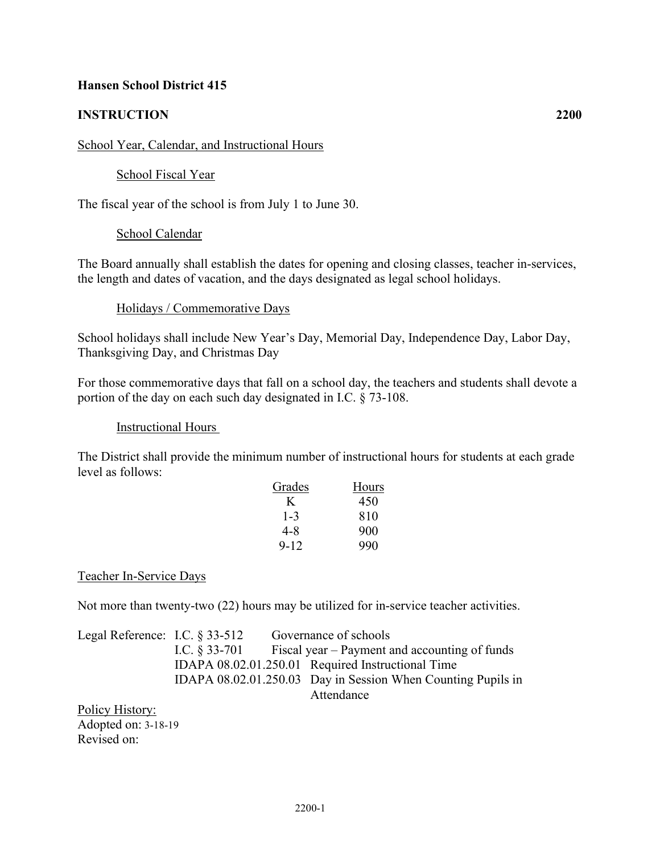# **Hansen School District 415**

# **INSTRUCTION 2200**

#### School Year, Calendar, and Instructional Hours

# School Fiscal Year

The fiscal year of the school is from July 1 to June 30.

### School Calendar

The Board annually shall establish the dates for opening and closing classes, teacher in-services, the length and dates of vacation, and the days designated as legal school holidays.

#### Holidays / Commemorative Days

School holidays shall include New Year's Day, Memorial Day, Independence Day, Labor Day, Thanksgiving Day, and Christmas Day

For those commemorative days that fall on a school day, the teachers and students shall devote a portion of the day on each such day designated in I.C. § 73-108.

#### Instructional Hours

The District shall provide the minimum number of instructional hours for students at each grade level as follows:

| Grades   | <b>Hours</b> |
|----------|--------------|
| K.       | 450          |
| $1 - 3$  | 810          |
| 4-8      | 900          |
| $9 - 12$ | 990          |

### Teacher In-Service Days

Not more than twenty-two (22) hours may be utilized for in-service teacher activities.

| Legal Reference: I.C. $\S 33-512$ |  | Governance of schools                                          |
|-----------------------------------|--|----------------------------------------------------------------|
|                                   |  | I.C. $\S 33-701$ Fiscal year – Payment and accounting of funds |
|                                   |  | IDAPA 08.02.01.250.01 Required Instructional Time              |
|                                   |  | IDAPA 08.02.01.250.03 Day in Session When Counting Pupils in   |
|                                   |  | Attendance                                                     |
| Policy History:                   |  |                                                                |

Adopted on: 3-18-19 Revised on: